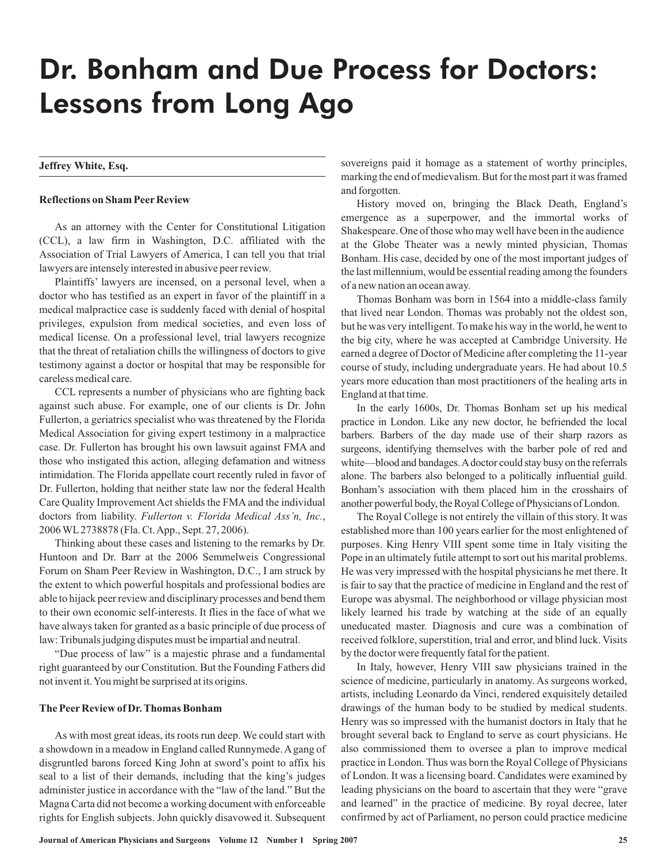# Dr. Bonham and Due Process for Doctors: Lessons from Long Ago

# **Jeffrey White, Esq.**

# **Reflections on Sham Peer Review**

As an attorney with the Center for Constitutional Litigation (CCL), a law firm in Washington, D.C. affiliated with the Association of Trial Lawyers of America, I can tell you that trial lawyers are intensely interested in abusive peer review.

Plaintiffs' lawyers are incensed, on a personal level, when a doctor who has testified as an expert in favor of the plaintiff in a medical malpractice case is suddenly faced with denial of hospital privileges, expulsion from medical societies, and even loss of medical license. On a professional level, trial lawyers recognize that the threat of retaliation chills the willingness of doctors to give testimony against a doctor or hospital that may be responsible for careless medical care.

CCL represents a number of physicians who are fighting back against such abuse. For example, one of our clients is Dr. John Fullerton, a geriatrics specialist who was threatened by the Florida Medical Association for giving expert testimony in a malpractice case. Dr. Fullerton has brought his own lawsuit against FMA and those who instigated this action, alleging defamation and witness intimidation. The Florida appellate court recently ruled in favor of Dr. Fullerton, holding that neither state law nor the federal Health Care Quality Improvement Act shields the FMA and the individual doctors from liability. Fullerton v. Florida Medical Ass'n, Inc., 2006WL 2738878 (Fla. Ct.App., Sept. 27, 2006).

Thinking about these cases and listening to the remarks by Dr. Huntoon and Dr. Barr at the 2006 Semmelweis Congressional Forum on Sham Peer Review in Washington, D.C., I am struck by the extent to which powerful hospitals and professional bodies are able to hijack peer review and disciplinary processes and bend them to their own economic self-interests. It flies in the face of what we have always taken for granted as a basic principle of due process of law: Tribunals judging disputes must be impartial and neutral.

"Due process of law" is a majestic phrase and a fundamental right guaranteed by our Constitution. But the Founding Fathers did not invent it.You might be surprised at its origins.

### **The Peer Review of Dr. Thomas Bonham**

As with most great ideas, its roots run deep. We could start with a showdown in a meadow in England called Runnymede.A gang of disgruntled barons forced King John at sword's point to affix his seal to a list of their demands, including that the king's judges administer justice in accordance with the "law of the land." But the Magna Carta did not become a working document with enforceable rights for English subjects. John quickly disavowed it. Subsequent sovereigns paid it homage as a statement of worthy principles, marking the end of medievalism. But for the most part it was framed and forgotten.

History moved on, bringing the Black Death, England's emergence as a superpower, and the immortal works of Shakespeare. One of those who may well have been in the audience at the Globe Theater was a newly minted physician, Thomas Bonham. His case, decided by one of the most important judges of the last millennium, would be essential reading among the founders of a new nation an ocean away.

Thomas Bonham was born in 1564 into a middle-class family that lived near London. Thomas was probably not the oldest son, but he was very intelligent. To make his way in the world, he went to the big city, where he was accepted at Cambridge University. He earned a degree of Doctor of Medicine after completing the 11-year course of study, including undergraduate years. He had about 10.5 years more education than most practitioners of the healing arts in England at that time.

In the early 1600s, Dr. Thomas Bonham set up his medical practice in London. Like any new doctor, he befriended the local barbers. Barbers of the day made use of their sharp razors as surgeons, identifying themselves with the barber pole of red and white—blood and bandages. A doctor could stay busy on the referrals alone. The barbers also belonged to a politically influential guild. Bonham's association with them placed him in the crosshairs of another powerful body, the Royal College of Physicians of London.

The Royal College is not entirely the villain of this story. It was established more than 100 years earlier for the most enlightened of purposes. King Henry VIII spent some time in Italy visiting the Pope in an ultimately futile attempt to sort out his marital problems. He was very impressed with the hospital physicians he met there. It is fair to say that the practice of medicine in England and the rest of Europe was abysmal. The neighborhood or village physician most likely learned his trade by watching at the side of an equally uneducated master. Diagnosis and cure was a combination of received folklore, superstition, trial and error, and blind luck. Visits by the doctor were frequently fatal for the patient.

In Italy, however, Henry VIII saw physicians trained in the science of medicine, particularly in anatomy. As surgeons worked, artists, including Leonardo da Vinci, rendered exquisitely detailed drawings of the human body to be studied by medical students. Henry was so impressed with the humanist doctors in Italy that he brought several back to England to serve as court physicians. He also commissioned them to oversee a plan to improve medical practice in London. Thus was born the Royal College of Physicians of London. It was a licensing board. Candidates were examined by leading physicians on the board to ascertain that they were "grave and learned" in the practice of medicine. By royal decree, later confirmed by act of Parliament, no person could practice medicine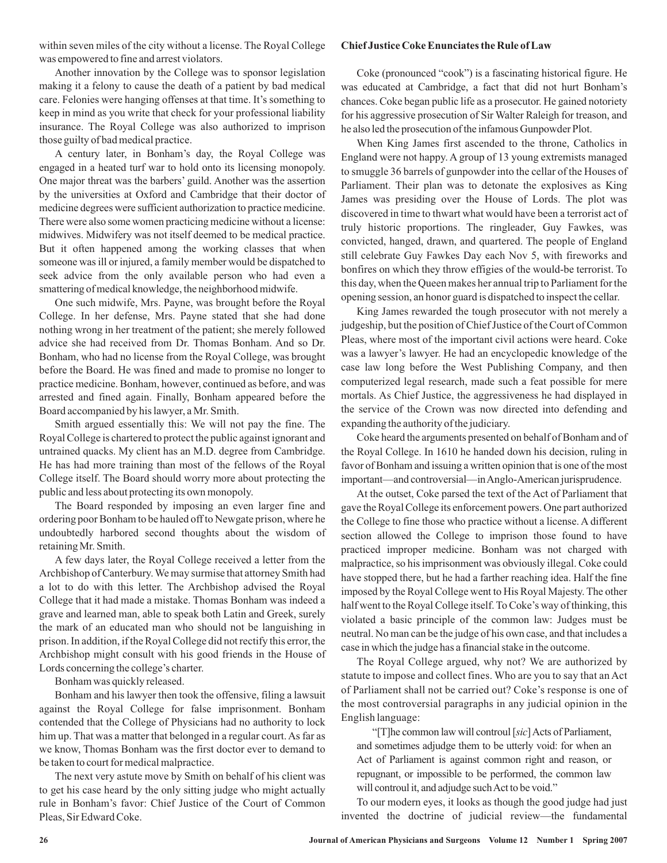within seven miles of the city without a license. The Royal College was empowered to fine and arrest violators.

Another innovation by the College was to sponsor legislation making it a felony to cause the death of a patient by bad medical care. Felonies were hanging offenses at that time. It's something to keep in mind as you write that check for your professional liability insurance. The Royal College was also authorized to imprison those guilty of bad medical practice.

A century later, in Bonham's day, the Royal College was engaged in a heated turf war to hold onto its licensing monopoly. One major threat was the barbers' guild. Another was the assertion by the universities at Oxford and Cambridge that their doctor of medicine degrees were sufficient authorization to practice medicine. There were also some women practicing medicine without a license: midwives. Midwifery was not itself deemed to be medical practice. But it often happened among the working classes that when someone was ill or injured, a family member would be dispatched to seek advice from the only available person who had even a smattering of medical knowledge, the neighborhood midwife.

One such midwife, Mrs. Payne, was brought before the Royal College. In her defense, Mrs. Payne stated that she had done nothing wrong in her treatment of the patient; she merely followed advice she had received from Dr. Thomas Bonham. And so Dr. Bonham, who had no license from the Royal College, was brought before the Board. He was fined and made to promise no longer to practice medicine. Bonham, however, continued as before, and was arrested and fined again. Finally, Bonham appeared before the Board accompanied by his lawyer, a Mr. Smith.

Smith argued essentially this: We will not pay the fine. The Royal College is chartered to protect the public against ignorant and untrained quacks. My client has an M.D. degree from Cambridge. He has had more training than most of the fellows of the Royal College itself. The Board should worry more about protecting the public and less about protecting its own monopoly.

The Board responded by imposing an even larger fine and ordering poor Bonham to be hauled off to Newgate prison, where he undoubtedly harbored second thoughts about the wisdom of retaining Mr. Smith.

A few days later, the Royal College received a letter from the Archbishop of Canterbury.We may surmise that attorney Smith had a lot to do with this letter. The Archbishop advised the Royal College that it had made a mistake. Thomas Bonham was indeed a grave and learned man, able to speak both Latin and Greek, surely the mark of an educated man who should not be languishing in prison. In addition, if the Royal College did not rectify this error, the Archbishop might consult with his good friends in the House of Lords concerning the college's charter.

Bonham was quickly released.

Bonham and his lawyer then took the offensive, filing a lawsuit against the Royal College for false imprisonment. Bonham contended that the College of Physicians had no authority to lock him up. That was a matter that belonged in a regular court. As far as we know, Thomas Bonham was the first doctor ever to demand to be taken to court for medical malpractice.

The next very astute move by Smith on behalf of his client was to get his case heard by the only sitting judge who might actually rule in Bonham's favor: Chief Justice of the Court of Common Pleas, Sir Edward Coke.

### **Chief Justice Coke Enunciates the Rule of Law**

Coke (pronounced "cook") is a fascinating historical figure. He was educated at Cambridge, a fact that did not hurt Bonham's chances. Coke began public life as a prosecutor. He gained notoriety for his aggressive prosecution of Sir Walter Raleigh for treason, and he also led the prosecution of the infamous Gunpowder Plot.

When King James first ascended to the throne, Catholics in England were not happy. A group of 13 young extremists managed to smuggle 36 barrels of gunpowder into the cellar of the Houses of Parliament. Their plan was to detonate the explosives as King James was presiding over the House of Lords. The plot was discovered in time to thwart what would have been a terrorist act of truly historic proportions. The ringleader, Guy Fawkes, was convicted, hanged, drawn, and quartered. The people of England still celebrate Guy Fawkes Day each Nov 5, with fireworks and bonfires on which they throw effigies of the would-be terrorist. To this day, when the Queen makes her annual trip to Parliament for the opening session, an honor guard is dispatched to inspect the cellar.

King James rewarded the tough prosecutor with not merely a judgeship, but the position of Chief Justice of the Court of Common Pleas, where most of the important civil actions were heard. Coke was a lawyer's lawyer. He had an encyclopedic knowledge of the case law long before the West Publishing Company, and then computerized legal research, made such a feat possible for mere mortals. As Chief Justice, the aggressiveness he had displayed in the service of the Crown was now directed into defending and expanding the authority of the judiciary.

Coke heard the arguments presented on behalf of Bonham and of the Royal College. In 1610 he handed down his decision, ruling in favor of Bonham and issuing a written opinion that is one of the most important—and controversial—inAnglo-American jurisprudence.

At the outset, Coke parsed the text of the Act of Parliament that gave the Royal College its enforcement powers. One part authorized the College to fine those who practice without a license. A different section allowed the College to imprison those found to have practiced improper medicine. Bonham was not charged with malpractice, so his imprisonment was obviously illegal. Coke could have stopped there, but he had a farther reaching idea. Half the fine imposed by the Royal College went to His Royal Majesty. The other half went to the Royal College itself. To Coke's way of thinking, this violated a basic principle of the common law: Judges must be neutral. No man can be the judge of his own case, and that includes a case in which the judge has a financial stake in the outcome.

The Royal College argued, why not? We are authorized by statute to impose and collect fines. Who are you to say that an Act of Parliament shall not be carried out? Coke's response is one of the most controversial paragraphs in any judicial opinion in the Englishlanguage:

"[T]he common law will controul [sic] Acts of Parliament, and sometimes adjudge them to be utterly void: for when an Act of Parliament is against common right and reason, or repugnant, or impossible to be performed, the common law will controul it, and adjudge such Act to be void."

To our modern eyes, it looks as though the good judge had just invented the doctrine of judicial review—the fundamental